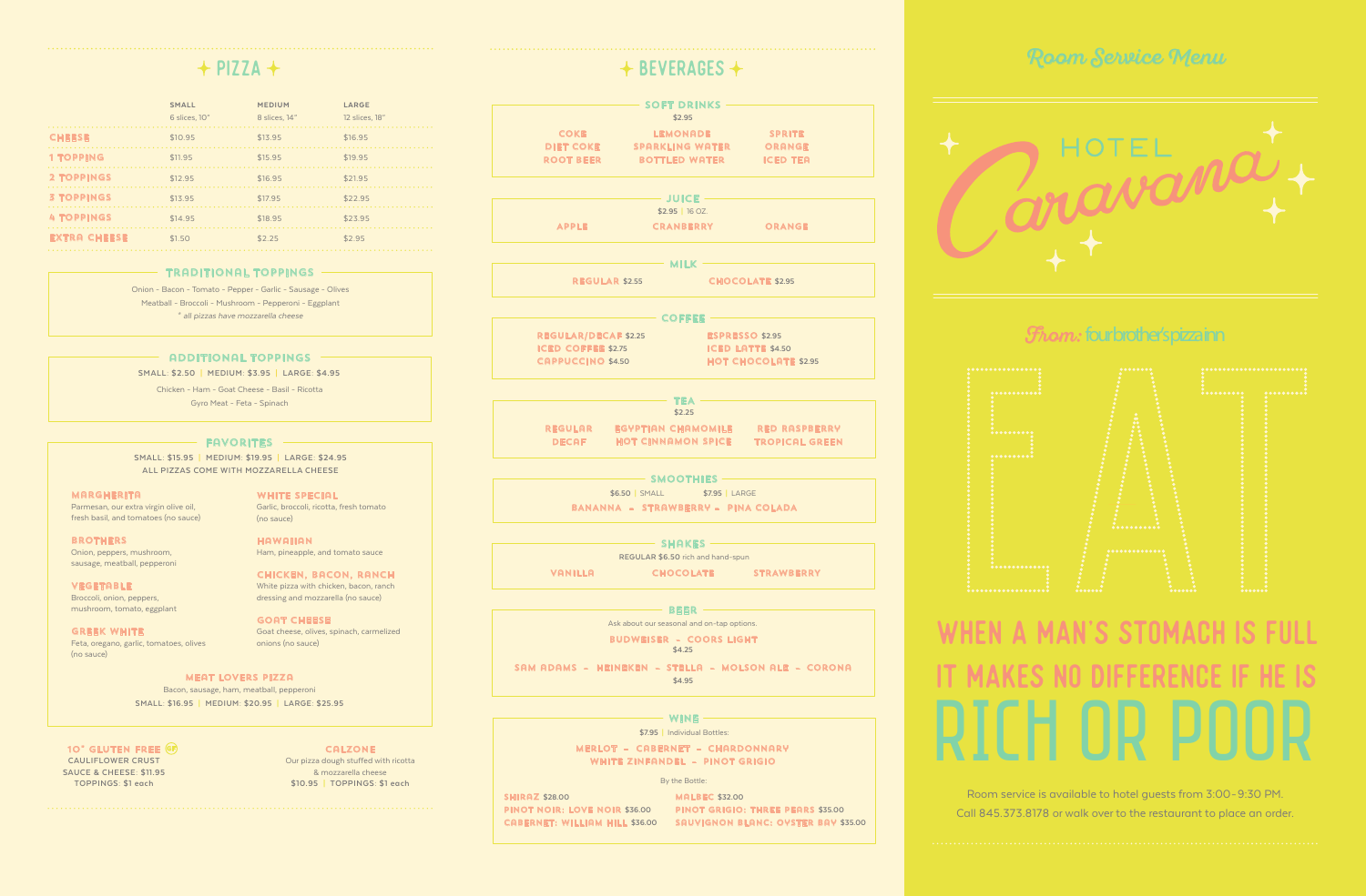Room service is available to hotel guests from 3:00-9:30 PM. Call 845.373.8178 or walk over to the restaurant to place an order.

**BROTHERS** Onion, peppers, mushroom, sausage, meatball, pepperoni

**VEGETABLE** Broccoli, onion, peppers, mushroom, tomato, eggplant

Parmesan, our extra virgin olive oil, fresh basil, and tomatoes (no sauce) WHITE SPECIAL Garlic, broccoli, ricotta, fresh tomato (no sauce)

**HAWAIIAN** Ham, pineapple, and tomato sauce

Greek white Feta, oregano, garlic, tomatoes, olives (no sauce)

Chicken, bacon, ranch White pizza with chicken, bacon, ranch dressing and mozzarella (no sauce)

goat cheese Goat cheese, olives, spinach, carmelized onions (no sauce)

#### meat lovers pizza

Bacon, sausage, ham, meatball, pepperoni **SMALL: \$16.95 | MEDIUM: \$20.95 | LARGE: \$25.95**

**SMALL: \$15.95 | MEDIUM: \$19.95 | LARGE: \$24.95 ALL PIZZAS COME WITH MOZZARELLA CHEESE**

#### **MARGHERITA**

**SMALL: \$2.50 | MEDIUM: \$3.95 | LARGE: \$4.95**

Onion - Bacon - Tomato - Pepper - Garlic - Sausage - Olives Meatball - Broccoli - Mushroom - Pepperoni - Eggplant \* *all pizzas have mozzarella cheese*

# wine rich or poor when a man's stomach is full **MAKES NO DIFFERENCE**

|                          | Y DLVLINMULU Y                             |                             |                                                     |
|--------------------------|--------------------------------------------|-----------------------------|-----------------------------------------------------|
|                          | $-$ SOFT DRINKS $-$                        |                             |                                                     |
|                          | \$2.95                                     |                             |                                                     |
|                          | <b>COKE</b> LEMONADE SPRITE                |                             |                                                     |
|                          | DIET COKE SPARKLING WATER ORANGE           |                             |                                                     |
|                          | ROOT BEER BOTTLED WATER ICED TEA           |                             |                                                     |
|                          |                                            |                             |                                                     |
|                          | $-$ JUICE $-$<br>$$2.95$   16 OZ.          |                             |                                                     |
| <b>APPLE</b>             | <b>CRANBERRY</b>                           |                             | <b>Example 19 ORANGE</b>                            |
|                          |                                            |                             |                                                     |
|                          | $-$ MILK $-$                               |                             |                                                     |
|                          | <b>REGULAR \$2.55 CHOCOLATE \$2.95</b>     |                             |                                                     |
|                          | $-$ COFFEE $-$                             |                             |                                                     |
|                          | <b>REGULAR/DECAF \$2.25</b>                | <b>ESPRESSO \$2.95</b>      |                                                     |
|                          | ICED COFFEE \$2.75 ICED LATTE \$4.50       |                             |                                                     |
| <b>CAPPUCCINO \$4.50</b> |                                            | <b>HOT CHOCOLATE \$2.95</b> |                                                     |
|                          |                                            |                             |                                                     |
|                          | $-$ TEA $-$                                |                             |                                                     |
|                          | \$2.25                                     |                             |                                                     |
|                          |                                            |                             | REGULAR EGYPTIAN CHAMOMILE RED RASPBERRY            |
|                          |                                            |                             | DECAF HOT CINNAMON SPICE TROPICAL GREEN             |
|                          |                                            |                             |                                                     |
|                          | $-$ smoothies $- \! - \!$                  |                             |                                                     |
|                          | \$6.50 SMALL \$7.95 LARGE                  |                             |                                                     |
|                          | BANANNA - STRAWBERRY - PINA COLADA         |                             |                                                     |
|                          | $\rightharpoonup$ shakes $\rightharpoonup$ |                             |                                                     |
|                          | <b>REGULAR \$6.50 rich and hand-spun</b>   |                             |                                                     |
| VANILLA                  |                                            |                             | <b>CHOCOLATE STRAWBERRY</b>                         |
|                          |                                            |                             |                                                     |
|                          | - BEER ——                                  |                             |                                                     |
|                          | Ask about our seasonal and on-tap options. |                             |                                                     |
|                          | <b>BUDWEISER - COORS LIGHT</b>             |                             |                                                     |
|                          | \$4.25                                     |                             |                                                     |
|                          |                                            |                             | SAM ADAMS - HEINEKEN - STELLA - MOLSON ALE - CORONA |
|                          | \$4.95                                     |                             |                                                     |
|                          |                                            |                             |                                                     |
|                          | - WINE $-$                                 |                             |                                                     |
|                          | \$7.95   Individual Bottles:               |                             |                                                     |
|                          | <b>MERLOT - CABERNET - CHARDONNARY</b>     |                             |                                                     |
|                          | WHITE ZINFANDEL - PINOT GRIGIO             |                             |                                                     |

|                     | <b>SMALL</b><br>6 slices, 10" | <b>MEDIUM</b><br>8 slices, 14" | LARGE<br>12 slices, 18" |
|---------------------|-------------------------------|--------------------------------|-------------------------|
| <b>CHEESE</b>       | \$10.95                       | \$13.95                        | \$16.95                 |
| <b>1 TOPPING</b>    | \$11.95                       | \$15.95                        | \$19.95                 |
| <b>2 TOPPINGS</b>   | \$12.95                       | \$16.95                        | \$21.95                 |
| <b>3 TOPPINGS</b>   | \$13.95                       | \$17.95                        | \$22.95                 |
| <b>4 TOPPINGS</b>   | \$14.95                       | \$18.95                        | \$23.95                 |
| <b>EXTRA CHEESE</b> | \$1.50                        | \$2.25                         | \$2.95                  |

10" GLUTEN FREE G **CAULIFLOWER CRUST SAUCE & CHEESE: \$11.95 TOPPINGS: \$1 each**

#### traditional toppings

Chicken - Ham - Goat Cheese - Basil - Ricotta Gyro Meat - Feta - Spinach

#### **FAVORITES**

### additional toppings

By the Bottle:

shiraz **\$28.00** pinot noir: love noir **\$36.00**

cabernet: william hill **\$36.00** sauvignon blanc: oyster bay **\$35.00** malbec **\$32.00** pinot grigio: three pears **\$35.00**

### Room Service Menu



### *from:* fourbrother's pizza inn



#### calzone

Our pizza dough stuffed with ricotta & mozzarella cheese **\$10.95 | TOPPINGS: \$1 each**

# $\div$  PIZZA  $\div$